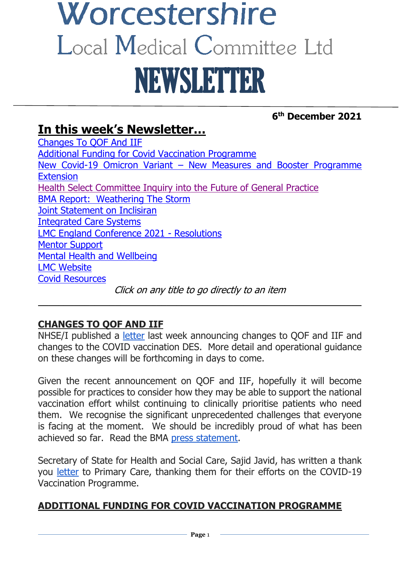# Worcestershire Local Medical Committee Ltd NEWSLETTER

### **6 th December 2021**

# **In this week's Newsletter…**

[Changes To QOF And IIF](#page-0-0) [Additional Funding for Covid Vaccination Programme](#page-0-1) New Covid-19 Omicron Variant – [New Measures and Booster Programme](#page-2-0)  **[Extension](#page-2-0)** [Health Select Committee Inquiry into the Future of General Practice](#page-2-1) [BMA Report: Weathering The Storm](#page-3-0) [Joint Statement on Inclisiran](#page-4-0) [Integrated Care Systems](#page-4-1) [LMC England Conference 2021 -](#page-5-0) Resolutions [Mentor Support](#page-5-1) [Mental Health and Wellbeing](#page-5-2) [LMC Website](#page-6-0) [Covid Resources](#page-6-1) Click on any title to go directly to an item

#### <span id="page-0-0"></span>**CHANGES TO QOF AND IIF**

NHSE/I published a [letter](https://www.england.nhs.uk/coronavirus/wp-content/uploads/sites/52/2021/12/C1468-jvci-advice-in-response-to-the-emergence-of-the-b.1.1.529-omicron-variant-next-steps-for-deployment.pdf) last week announcing changes to QOF and IIF and changes to the COVID vaccination DES. More detail and operational guidance on these changes will be forthcoming in days to come.

 $\overline{\phantom{a}}$  , and the contract of the contract of the contract of the contract of the contract of the contract of the contract of the contract of the contract of the contract of the contract of the contract of the contrac

Given the recent announcement on QOF and IIF, hopefully it will become possible for practices to consider how they may be able to support the national vaccination effort whilst continuing to clinically prioritise patients who need them. We recognise the significant unprecedented challenges that everyone is facing at the moment. We should be incredibly proud of what has been achieved so far. Read the BMA [press statement.](https://www.bma.org.uk/bma-media-centre/bma-hopes-gp-booster-plan-can-free-up-time-for-staff-to-prioritise-patients-most-in-need)

Secretary of State for Health and Social Care, Sajid Javid, has written a thank you [letter](https://www.gov.uk/government/publications/thank-you-to-primary-care-letter-from-secretary-of-state-for-health-and-social-care/thank-you-to-all-primary-care-staff-letter-from-secretary-of-state-for-health-and-social-care-3-december-2021) to Primary Care, thanking them for their efforts on the COVID-19 Vaccination Programme.

#### <span id="page-0-1"></span>**ADDITIONAL FUNDING FOR COVID VACCINATION PROGRAMME**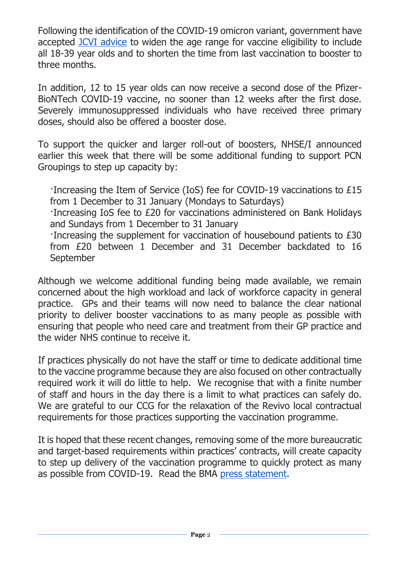Following the identification of the COVID-19 omicron variant, government have accepted [JCVI advice](https://www.gov.uk/government/news/all-adults-to-be-offered-covid-19-boosters-by-end-of-january) to widen the age range for vaccine eligibility to include all 18-39 year olds and to shorten the time from last vaccination to booster to three months.

In addition, 12 to 15 year olds can now receive a second dose of the Pfizer-BioNTech COVID-19 vaccine, no sooner than 12 weeks after the first dose. Severely immunosuppressed individuals who have received three primary doses, should also be offered a booster dose.

To support the quicker and larger roll-out of boosters, NHSE/I announced earlier this week that there will be some additional funding to support PCN Groupings to step up capacity by:

·Increasing the Item of Service (IoS) fee for COVID-19 vaccinations to £15 from 1 December to 31 January (Mondays to Saturdays) ·Increasing IoS fee to £20 for vaccinations administered on Bank Holidays and Sundays from 1 December to 31 January ·Increasing the supplement for vaccination of housebound patients to £30 from £20 between 1 December and 31 December backdated to 16 September

Although we welcome additional funding being made available, we remain concerned about the high workload and lack of workforce capacity in general practice. GPs and their teams will now need to balance the clear national priority to deliver booster vaccinations to as many people as possible with ensuring that people who need care and treatment from their GP practice and the wider NHS continue to receive it.

If practices physically do not have the staff or time to dedicate additional time to the vaccine programme because they are also focused on other contractually required work it will do little to help. We recognise that with a finite number of staff and hours in the day there is a limit to what practices can safely do. We are grateful to our CCG for the relaxation of the Revivo local contractual requirements for those practices supporting the vaccination programme.

It is hoped that these recent changes, removing some of the more bureaucratic and target-based requirements within practices' contracts, will create capacity to step up delivery of the vaccination programme to quickly protect as many as possible from COVID-19. Read the BMA [press statement.](https://www.bma.org.uk/bma-media-centre/bma-hopes-gp-booster-plan-can-free-up-time-for-staff-to-prioritise-patients-most-in-need)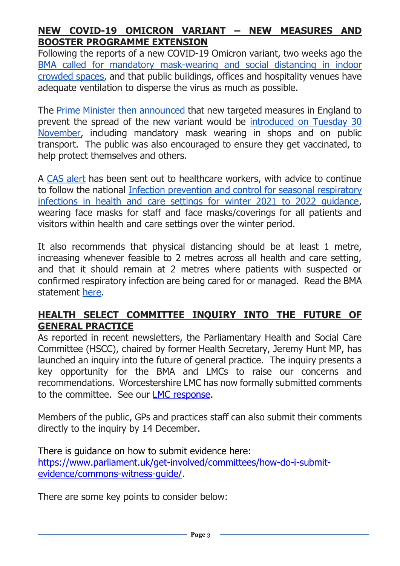#### <span id="page-2-0"></span>**NEW COVID-19 OMICRON VARIANT – NEW MEASURES AND BOOSTER PROGRAMME EXTENSION**

Following the reports of a new COVID-19 Omicron variant, two weeks ago the [BMA called for mandatory mask-wearing and social distancing in](https://www.bma.org.uk/bma-media-centre/bma-calls-for-mandatory-mask-wearing-and-social-distancing-amidst-reports-of-a-new-covid-variant) indoor [crowded spaces,](https://www.bma.org.uk/bma-media-centre/bma-calls-for-mandatory-mask-wearing-and-social-distancing-amidst-reports-of-a-new-covid-variant) and that public buildings, offices and hospitality venues have adequate ventilation to disperse the virus as much as possible.

The [Prime Minister then announced](https://www.gov.uk/government/speeches/pm-opening-statement-at-covid-19-press-conference-27-november-2021) that new targeted measures in England to prevent the spread of the new variant would be [introduced on Tuesday 30](https://www.gov.uk/government/news/measures-against-omicron-variant-come-into-effect-30-november-2021)  [November,](https://www.gov.uk/government/news/measures-against-omicron-variant-come-into-effect-30-november-2021) including mandatory mask wearing in shops and on public transport. The public was also encouraged to ensure they get vaccinated, to help protect themselves and others.

A [CAS alert](https://www.cas.mhra.gov.uk/ViewandAcknowledgment/ViewAlert.aspx?AlertID=103183) has been sent out to healthcare workers, with advice to continue to follow the national [Infection prevention and control for seasonal respiratory](https://www.gov.uk/government/publications/wuhan-novel-coronavirus-infection-prevention-and-control/covid-19-guidance-for-maintaining-services-within-health-and-care-settings-infection-prevention-and-control-recommendations)  [infections in health and care settings for winter 2021 to 2022 guidance,](https://www.gov.uk/government/publications/wuhan-novel-coronavirus-infection-prevention-and-control/covid-19-guidance-for-maintaining-services-within-health-and-care-settings-infection-prevention-and-control-recommendations) wearing face masks for staff and face masks/coverings for all patients and visitors within health and care settings over the winter period.

It also recommends that physical distancing should be at least 1 metre, increasing whenever feasible to 2 metres across all health and care setting, and that it should remain at 2 metres where patients with suspected or confirmed respiratory infection are being cared for or managed. Read the BMA statement [here.](https://www.bma.org.uk/bma-media-centre/practices-need-more-time-not-money-to-deliver-booster-campaign-says-bma)

#### <span id="page-2-1"></span>**HEALTH SELECT COMMITTEE INQUIRY INTO THE FUTURE OF GENERAL PRACTICE**

As reported in recent newsletters, the Parliamentary Health and Social Care Committee (HSCC), chaired by former Health Secretary, Jeremy Hunt MP, has launched an inquiry into the future of general practice. The inquiry presents a key opportunity for the BMA and LMCs to raise our concerns and recommendations. Worcestershire LMC has now formally submitted comments to the committee. See our [LMC response.](https://www.worcslmc.co.uk/cache/downloads/Call-for-evidence.docx)

Members of the public, GPs and practices staff can also submit their comments directly to the inquiry by 14 December.

There is guidance on how to submit evidence here: [https://www.parliament.uk/get-involved/committees/how-do-i-submit](https://www.parliament.uk/get-involved/committees/how-do-i-submit-evidence/commons-witness-guide/)[evidence/commons-witness-guide/.](https://www.parliament.uk/get-involved/committees/how-do-i-submit-evidence/commons-witness-guide/)

There are some key points to consider below: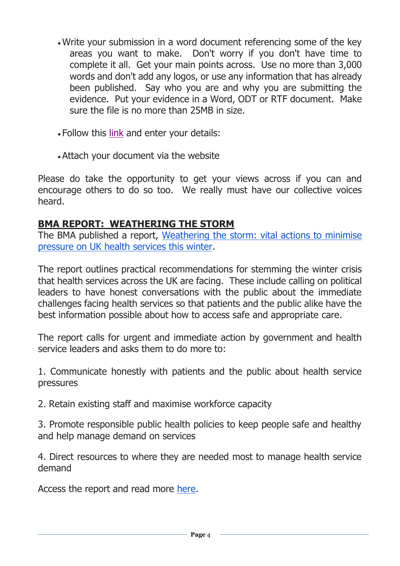- Write your submission in a word document referencing some of the key areas you want to make. Don't worry if you don't have time to complete it all. Get your main points across. Use no more than 3,000 words and don't add any logos, or use any information that has already been published. Say who you are and why you are submitting the evidence. Put your evidence in a Word, ODT or RTF document. Make sure the file is no more than 25MB in size.
- Follow this [link](https://committees.parliament.uk/call-for-evidence/632/) and enter your details:
- Attach your document via the website

Please do take the opportunity to get your views across if you can and encourage others to do so too. We really must have our collective voices heard.

#### <span id="page-3-0"></span>**BMA REPORT: WEATHERING THE STORM**

The BMA published a report, Weathering the storm: vital actions to minimise [pressure on UK health services this winter.](https://www.bma.org.uk/media/4834/bma-weathering-the-storm-report-nov21.pdf)

The report outlines practical recommendations for stemming the winter crisis that health services across the UK are facing. These include calling on political leaders to have honest conversations with the public about the immediate challenges facing health services so that patients and the public alike have the best information possible about how to access safe and appropriate care.

The report calls for urgent and immediate action by government and health service leaders and asks them to do more to:

1. Communicate honestly with patients and the public about health service pressures

2. Retain existing staff and maximise workforce capacity

3. Promote responsible public health policies to keep people safe and healthy and help manage demand on services

4. Direct resources to where they are needed most to manage health service demand

Access the report and read more [here.](https://www.bma.org.uk/advice-and-support/nhs-delivery-and-workforce/pressures/vital-actions-to-minimise-pressure-on-the-nhs-this-winter)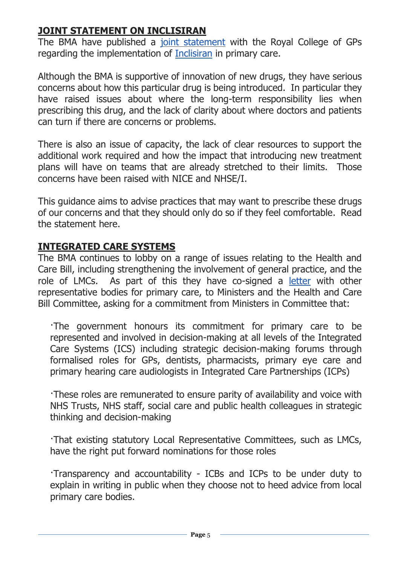#### <span id="page-4-0"></span>**JOINT STATEMENT ON INCLISIRAN**

The BMA have published a [joint statement](https://i.emlfiles4.com/cmpdoc/3/7/7/5/2/files/865466_inclisiran-statement-rcgp-bma-badged-dec-2021.pdf?utm_source=The%20British%20Medical%20Association&utm_medium=email&utm_campaign=12841148_GP%20ENEWSLETTER%2002122021&dm_t=0,0,0,0,0) with the Royal College of GPs regarding the implementation of [Inclisiran](https://www.nice.org.uk/guidance/ta733/documents/html-content-2) in primary care.

Although the BMA is supportive of innovation of new drugs, they have serious concerns about how this particular drug is being introduced. In particular they have raised issues about where the long-term responsibility lies when prescribing this drug, and the lack of clarity about where doctors and patients can turn if there are concerns or problems.

There is also an issue of capacity, the lack of clear resources to support the additional work required and how the impact that introducing new treatment plans will have on teams that are already stretched to their limits. Those concerns have been raised with NICE and NHSE/I.

This guidance aims to advise practices that may want to prescribe these drugs of our concerns and that they should only do so if they feel comfortable. Read the statement here.

#### <span id="page-4-1"></span>**INTEGRATED CARE SYSTEMS**

The BMA continues to lobby on a range of issues relating to the Health and Care Bill, including strengthening the involvement of general practice, and the role of LMCs. As part of this they have co-signed a [letter](https://i.emlfiles4.com/cmpdoc/3/7/7/5/2/files/839633_health-and-care-bill-committee-letter---final.pdf?utm_source=The%20British%20Medical%20Association&utm_medium=email&utm_campaign=12645090_GP%20ENEWSLETTER%20090921&dm_t=0,0,0,0,0) with other representative bodies for primary care, to Ministers and the Health and Care Bill Committee, asking for a commitment from Ministers in Committee that:

·The government honours its commitment for primary care to be represented and involved in decision-making at all levels of the Integrated Care Systems (ICS) including strategic decision-making forums through formalised roles for GPs, dentists, pharmacists, primary eye care and primary hearing care audiologists in Integrated Care Partnerships (ICPs)

·These roles are remunerated to ensure parity of availability and voice with NHS Trusts, NHS staff, social care and public health colleagues in strategic thinking and decision-making

·That existing statutory Local Representative Committees, such as LMCs, have the right put forward nominations for those roles

·Transparency and accountability - ICBs and ICPs to be under duty to explain in writing in public when they choose not to heed advice from local primary care bodies.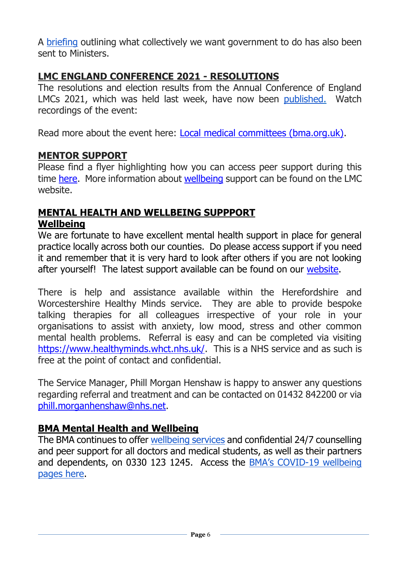A [briefing](https://i.emlfiles4.com/cmpdoc/3/7/7/5/2/files/839634_health-and-care-bill---primary-care-key-asks-final-06.09.21.pdf?utm_source=The%20British%20Medical%20Association&utm_medium=email&utm_campaign=12645090_GP%20ENEWSLETTER%20090921&dm_t=0,0,0,0,0) outlining what collectively we want government to do has also been sent to Ministers.

#### <span id="page-5-0"></span>**LMC ENGLAND CONFERENCE 2021 - RESOLUTIONS**

The resolutions and election results from the Annual Conference of England LMCs 2021, which was held last week, have now been [published.](https://www.bma.org.uk/media/4846/bma-england-lmc-conference-resolutions-and-elections-nov-2021.pdf) Watch recordings of the event:

Read more about the event here: [Local medical committees \(bma.org.uk\).](https://www.bma.org.uk/what-we-do/local-medical-committees)

#### <span id="page-5-1"></span>**MENTOR SUPPORT**

Please find a flyer highlighting how you can access peer support during this time [here.](https://www.worcslmc.co.uk/cache/downloads/Multi-Prof-Mentoring---FINAL.pdf) More information about [wellbeing](https://www.worcslmc.co.uk/) support can be found on the LMC website.

#### <span id="page-5-2"></span>**MENTAL HEALTH AND WELLBEING SUPPPORT Wellbeing**

We are fortunate to have excellent mental health support in place for general practice locally across both our counties. Do please access support if you need it and remember that it is very hard to look after others if you are not looking after yourself! The latest support available can be found on our [website.](https://www.worcslmc.co.uk/)

There is help and assistance available within the Herefordshire and Worcestershire Healthy Minds service. They are able to provide bespoke talking therapies for all colleagues irrespective of your role in your organisations to assist with anxiety, low mood, stress and other common mental health problems. Referral is easy and can be completed via visiting [https://www.healthyminds.whct.nhs.uk/.](https://www.healthyminds.whct.nhs.uk/) This is a NHS service and as such is free at the point of contact and confidential.

The Service Manager, Phill Morgan Henshaw is happy to answer any questions regarding referral and treatment and can be contacted on 01432 842200 or via [phill.morganhenshaw@nhs.net.](mailto:phill.morganhenshaw@nhs.net)

#### **BMA Mental Health and Wellbeing**

The BMA continues to offer [wellbeing services](https://www.bma.org.uk/advice-and-support/your-wellbeing#wellbeing-support-services) and confidential 24/7 counselling and peer support for all doctors and medical students, as well as their partners and dependents, on 0330 123 1245. Access the BMA's COVID[-19 wellbeing](https://www.bma.org.uk/advice-and-support/covid-19/your-health/covid-19-your-wellbeing)  [pages here.](https://www.bma.org.uk/advice-and-support/covid-19/your-health/covid-19-your-wellbeing)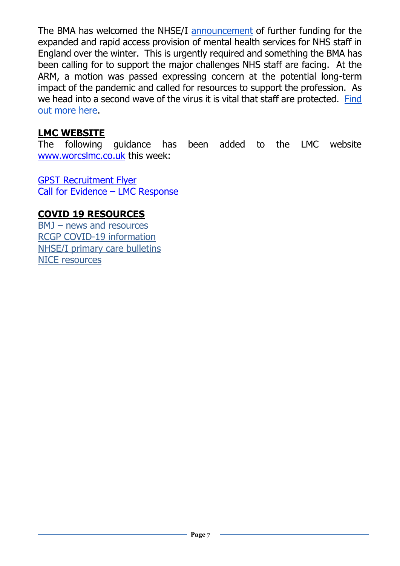The BMA has welcomed the NHSE/I [announcement](https://www.england.nhs.uk/2020/10/strengthening-mental-health-support-for-staff/) of further funding for the expanded and rapid access provision of mental health services for NHS staff in England over the winter. This is urgently required and something the BMA has been calling for to support the major challenges NHS staff are facing. At the ARM, a motion was passed expressing concern at the potential long-term impact of the pandemic and called for resources to support the profession. As we head into a second wave of the virus it is vital that staff are protected. [Find](https://people.nhs.uk/)  [out more here.](https://people.nhs.uk/)

#### <span id="page-6-0"></span>**LMC WEBSITE**

The following guidance has been added to the LMC website [www.worcslmc.co.uk](http://www.worcslmc.co.uk/) this week:

[GPST Recruitment Flyer](https://www.worcslmc.co.uk/cache/downloads/GPST-Recruitment-Flyer---MPU-3-December.pdf) [Call for Evidence](https://www.worcslmc.co.uk/cache/downloads/Call-for-evidence.docx) – LMC Response

#### <span id="page-6-1"></span>**COVID 19 RESOURCES**

BMJ – [news and resources](https://www.bmj.com/coronavirus) [RCGP COVID-19 information](https://www.rcgp.org.uk/policy/rcgp-policy-areas/covid-19-coronavirus.aspx) [NHSE/I primary care bulletins](https://www.england.nhs.uk/coronavirus/primary-care/other-resources/primary-care-bulletin/) [NICE resources](https://nhsconfed.us16.list-manage.com/track/click?u=feeeed3bba7c179fd3a7ef554&id=0017c62a07&e=d3deb28f87)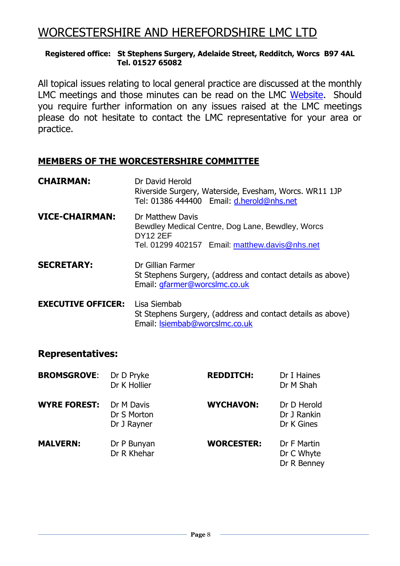## WORCESTERSHIRE AND HEREFORDSHIRE LMC LTD

#### **Registered office: St Stephens Surgery, Adelaide Street, Redditch, Worcs B97 4AL Tel. 01527 65082**

All topical issues relating to local general practice are discussed at the monthly LMC meetings and those minutes can be read on the LMC [Website.](https://www.worcslmc.co.uk/pages/lmc-meetings) Should you require further information on any issues raised at the LMC meetings please do not hesitate to contact the LMC representative for your area or practice.

#### **MEMBERS OF THE WORCESTERSHIRE COMMITTEE**

| <b>CHAIRMAN:</b>          | Dr David Herold<br>Riverside Surgery, Waterside, Evesham, Worcs. WR11 1JP<br>Tel: 01386 444400 Email: d.herold@nhs.net                    |  |
|---------------------------|-------------------------------------------------------------------------------------------------------------------------------------------|--|
| <b>VICE-CHAIRMAN:</b>     | Dr Matthew Davis<br>Bewdley Medical Centre, Dog Lane, Bewdley, Worcs<br><b>DY12 2EF</b><br>Tel. 01299 402157 Email: matthew.davis@nhs.net |  |
| <b>SECRETARY:</b>         | Dr Gillian Farmer<br>St Stephens Surgery, (address and contact details as above)<br>Email: gfarmer@worcslmc.co.uk                         |  |
| <b>EXECUTIVE OFFICER:</b> | Lisa Siembab<br>St Stephens Surgery, (address and contact details as above)<br>Email: Isiembab@worcsImc.co.uk                             |  |

#### **Representatives:**

| <b>BROMSGROVE:</b>  | Dr D Pryke<br>Dr K Hollier               | <b>REDDITCH:</b>  | Dr I Haines<br>Dr M Shah                 |
|---------------------|------------------------------------------|-------------------|------------------------------------------|
| <b>WYRE FOREST:</b> | Dr M Davis<br>Dr S Morton<br>Dr J Rayner | <b>WYCHAVON:</b>  | Dr D Herold<br>Dr J Rankin<br>Dr K Gines |
| <b>MALVERN:</b>     | Dr P Bunyan<br>Dr R Khehar               | <b>WORCESTER:</b> | Dr F Martin<br>Dr C Whyte<br>Dr R Benney |